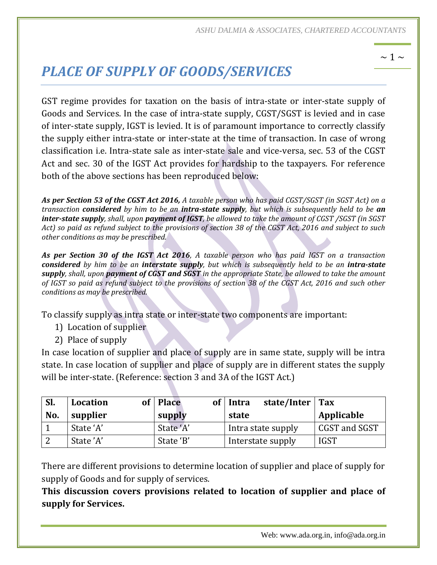# *PLACE OF SUPPLY OF GOODS/SERVICES*

GST regime provides for taxation on the basis of intra-state or inter-state supply of Goods and Services. In the case of intra-state supply, CGST/SGST is levied and in case of inter-state supply, IGST is levied. It is of paramount importance to correctly classify the supply either intra-state or inter-state at the time of transaction. In case of wrong classification i.e. Intra-state sale as inter-state sale and vice-versa, sec. 53 of the CGST Act and sec. 30 of the IGST Act provides for hardship to the taxpayers. For reference both of the above sections has been reproduced below:

*As per Section 53 of the CGST Act 2016, A taxable person who has paid CGST/SGST (in SGST Act) on a transaction considered by him to be an intra-state supply, but which is subsequently held to be an inter-state supply, shall, upon payment of IGST, be allowed to take the amount of CGST /SGST (in SGST Act) so paid as refund subject to the provisions of section 38 of the CGST Act, 2016 and subject to such other conditions as may be prescribed.*

*As per Section 30 of the IGST Act 2016, A taxable person who has paid IGST on a transaction considered by him to be an interstate supply, but which is subsequently held to be an intra-state supply, shall, upon payment of CGST and SGST in the appropriate State, be allowed to take the amount of IGST so paid as refund subject to the provisions of section 38 of the CGST Act, 2016 and such other conditions as may be prescribed.*

To classify supply as intra state or inter-state two components are important:

- 1) Location of supplier
- 2) Place of supply

In case location of supplier and place of supply are in same state, supply will be intra state. In case location of supplier and place of supply are in different states the supply will be inter-state. (Reference: section 3 and 3A of the IGST Act.)

| SI. | <b>Location</b> | <b>Place</b><br>of | state/Inter $\vert$ Tax<br>Intra |               |
|-----|-----------------|--------------------|----------------------------------|---------------|
| No. | supplier        | supply             | state                            | Applicable    |
|     | State 'A'       | State 'A'          | Intra state supply               | CGST and SGST |
| . വ | State 'A'       | State 'B'          | Interstate supply                | <b>IGST</b>   |

There are different provisions to determine location of supplier and place of supply for supply of Goods and for supply of services.

**This discussion covers provisions related to location of supplier and place of supply for Services.**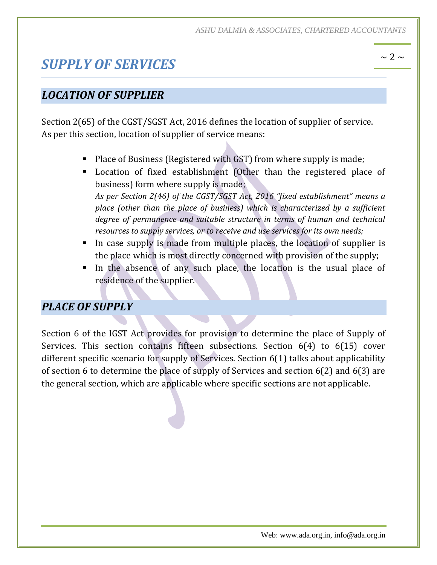## *SUPPLY OF SERVICES*

### *LOCATION OF SUPPLIER*

Section 2(65) of the CGST/SGST Act, 2016 defines the location of supplier of service. As per this section, location of supplier of service means:

- Place of Business (Registered with GST) from where supply is made;
- Location of fixed establishment (Other than the registered place of business) form where supply is made; *As per Section 2(46) of the CGST/SGST Act, 2016 "fixed establishment" means a place (other than the place of business) which is characterized by a sufficient degree of permanence and suitable structure in terms of human and technical resources to supply services, or to receive and use services for its own needs;*
- In case supply is made from multiple places, the location of supplier is the place which is most directly concerned with provision of the supply;
- In the absence of any such place, the location is the usual place of residence of the supplier.

#### *PLACE OF SUPPLY*

Section 6 of the IGST Act provides for provision to determine the place of Supply of Services. This section contains fifteen subsections. Section 6(4) to 6(15) cover different specific scenario for supply of Services. Section 6(1) talks about applicability of section 6 to determine the place of supply of Services and section 6(2) and 6(3) are the general section, which are applicable where specific sections are not applicable.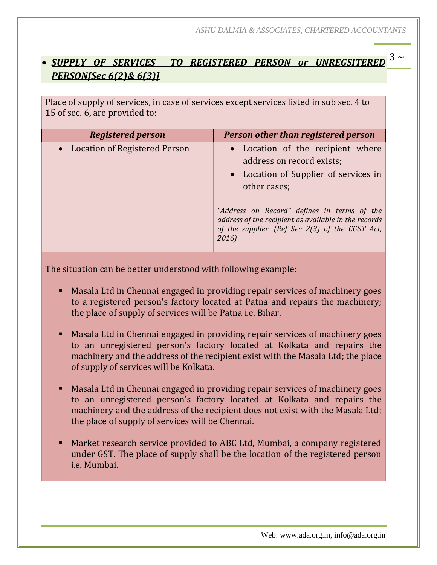## ~ 3 <sup>~</sup> *SUPPLY OF SERVICES TO REGISTERED PERSON or UNREGSITERED PERSON[Sec 6(2)& 6(3)]*

Place of supply of services, in case of services except services listed in sub sec. 4 to 15 of sec. 6, are provided to:

| <b>Registered person</b>        | Person other than registered person                                                                                                                                                                                            |
|---------------------------------|--------------------------------------------------------------------------------------------------------------------------------------------------------------------------------------------------------------------------------|
| • Location of Registered Person | • Location of the recipient where<br>address on record exists;<br>• Location of Supplier of services in<br>other cases;<br>"Address on Record" defines in terms of the<br>address of the recipient as available in the records |
|                                 | of the supplier. (Ref Sec 2(3) of the CGST Act,<br>2016)                                                                                                                                                                       |

- Masala Ltd in Chennai engaged in providing repair services of machinery goes to a registered person's factory located at Patna and repairs the machinery; the place of supply of services will be Patna i.e. Bihar.
- Masala Ltd in Chennai engaged in providing repair services of machinery goes to an unregistered person's factory located at Kolkata and repairs the machinery and the address of the recipient exist with the Masala Ltd; the place of supply of services will be Kolkata.
- Masala Ltd in Chennai engaged in providing repair services of machinery goes to an unregistered person's factory located at Kolkata and repairs the machinery and the address of the recipient does not exist with the Masala Ltd; the place of supply of services will be Chennai.
- Market research service provided to ABC Ltd, Mumbai, a company registered under GST. The place of supply shall be the location of the registered person i.e. Mumbai.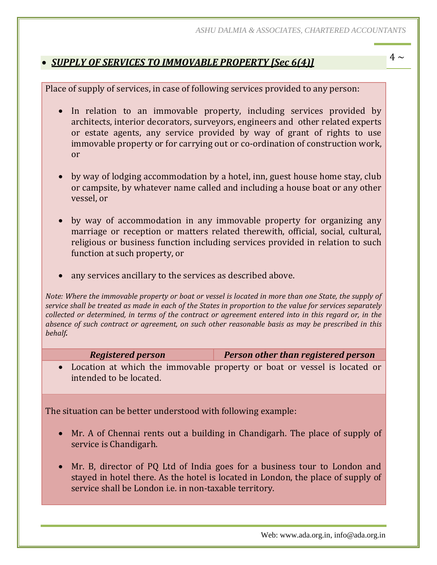## ~ 4 <sup>~</sup> *SUPPLY OF SERVICES TO IMMOVABLE PROPERTY [Sec 6(4)]*

Place of supply of services, in case of following services provided to any person:

- In relation to an immovable property, including services provided by architects, interior decorators, surveyors, engineers and other related experts or estate agents, any service provided by way of grant of rights to use immovable property or for carrying out or co-ordination of construction work, or
- by way of lodging accommodation by a hotel, inn, guest house home stay, club or campsite, by whatever name called and including a house boat or any other vessel, or
- by way of accommodation in any immovable property for organizing any marriage or reception or matters related therewith, official, social, cultural, religious or business function including services provided in relation to such function at such property, or
- any services ancillary to the services as described above.

*Note: Where the immovable property or boat or vessel is located in more than one State, the supply of service shall be treated as made in each of the States in proportion to the value for services separately collected or determined, in terms of the contract or agreement entered into in this regard or, in the absence of such contract or agreement, on such other reasonable basis as may be prescribed in this behalf.*

| <b>Registered person</b> | <b>Person other than registered person</b> |
|--------------------------|--------------------------------------------|
|--------------------------|--------------------------------------------|

 Location at which the immovable property or boat or vessel is located or intended to be located.

- Mr. A of Chennai rents out a building in Chandigarh. The place of supply of service is Chandigarh.
- Mr. B, director of PQ Ltd of India goes for a business tour to London and stayed in hotel there. As the hotel is located in London, the place of supply of service shall be London i.e. in non-taxable territory.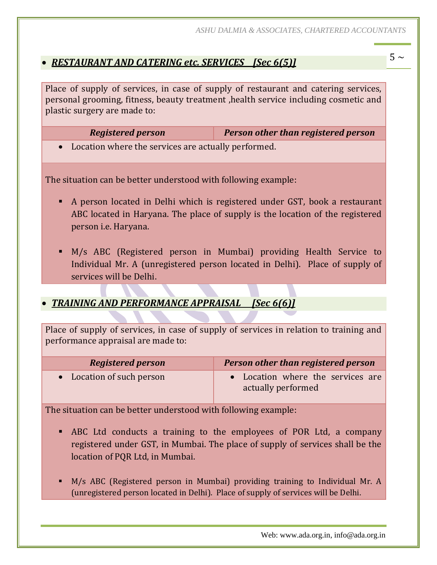## ~ 5 <sup>~</sup> *RESTAURANT AND CATERING etc. SERVICES [Sec 6(5)]*

Place of supply of services, in case of supply of restaurant and catering services, personal grooming, fitness, beauty treatment ,health service including cosmetic and plastic surgery are made to:

*Registered person Person other than registered person*

Location where the services are actually performed.

The situation can be better understood with following example:

- A person located in Delhi which is registered under GST, book a restaurant ABC located in Haryana. The place of supply is the location of the registered person i.e. Haryana.
- M/s ABC (Registered person in Mumbai) providing Health Service to Individual Mr. A (unregistered person located in Delhi). Place of supply of services will be Delhi.

#### *TRAINING AND PERFORMANCE APPRAISAL [Sec 6(6)]*

Place of supply of services, in case of supply of services in relation to training and performance appraisal are made to:

| <b>Registered person</b>  | <b>Person other than registered person</b>              |
|---------------------------|---------------------------------------------------------|
| • Location of such person | • Location where the services are<br>actually performed |

- ABC Ltd conducts a training to the employees of POR Ltd, a company registered under GST, in Mumbai. The place of supply of services shall be the location of PQR Ltd, in Mumbai.
- M/s ABC (Registered person in Mumbai) providing training to Individual Mr. A (unregistered person located in Delhi). Place of supply of services will be Delhi.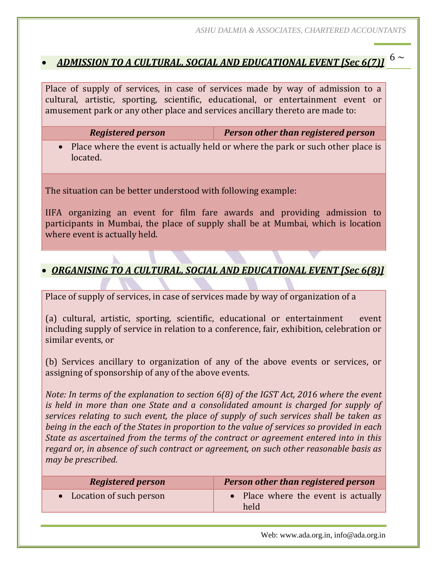# ~ 6 <sup>~</sup> *ADMISSION TO A CULTURAL, SOCIAL AND EDUCATIONAL EVENT [Sec 6(7)]*

Place of supply of services, in case of services made by way of admission to a cultural, artistic, sporting, scientific, educational, or entertainment event or amusement park or any other place and services ancillary thereto are made to:

| <b>Registered person</b> | <b>Person other than registered person</b>                                        |
|--------------------------|-----------------------------------------------------------------------------------|
| located.                 | • Place where the event is actually held or where the park or such other place is |

The situation can be better understood with following example:

IIFA organizing an event for film fare awards and providing admission to participants in Mumbai, the place of supply shall be at Mumbai, which is location where event is actually held.

#### *ORGANISING TO A CULTURAL, SOCIAL AND EDUCATIONAL EVENT [Sec 6(8)]*

Place of supply of services, in case of services made by way of organization of a

(a) cultural, artistic, sporting, scientific, educational or entertainment event including supply of service in relation to a conference, fair, exhibition, celebration or similar events, or

(b) Services ancillary to organization of any of the above events or services, or assigning of sponsorship of any of the above events.

*Note: In terms of the explanation to section 6(8) of the IGST Act, 2016 where the event is held in more than one State and a consolidated amount is charged for supply of services relating to such event, the place of supply of such services shall be taken as being in the each of the States in proportion to the value of services so provided in each State as ascertained from the terms of the contract or agreement entered into in this regard or, in absence of such contract or agreement, on such other reasonable basis as may be prescribed.*

| <b>Registered person</b>  | Person other than registered person         |
|---------------------------|---------------------------------------------|
| • Location of such person | • Place where the event is actually<br>held |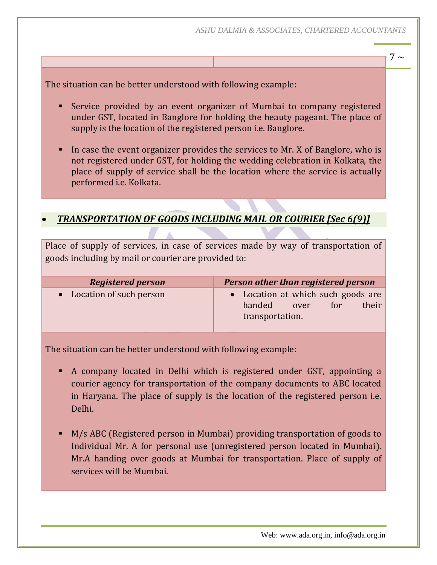7  $\sim$ 

The situation can be better understood with following example:

- Service provided by an event organizer of Mumbai to company registered under GST, located in Banglore for holding the beauty pageant. The place of supply is the location of the registered person i.e. Banglore.
- In case the event organizer provides the services to Mr. X of Banglore, who is not registered under GST, for holding the wedding celebration in Kolkata, the place of supply of service shall be the location where the service is actually performed i.e. Kolkata.

#### *TRANSPORTATION OF GOODS INCLUDING MAIL OR COURIER [Sec 6(9)]*

Place of supply of services, in case of services made by way of transportation of goods including by mail or courier are provided to:

| <b>Registered person</b>  | Person other than registered person                                  |  |
|---------------------------|----------------------------------------------------------------------|--|
| • Location of such person | • Location at which such goods are<br>handed<br>their<br>for<br>over |  |
|                           | transportation.                                                      |  |

- A company located in Delhi which is registered under GST, appointing a courier agency for transportation of the company documents to ABC located in Haryana. The place of supply is the location of the registered person i.e. Delhi.
- M/s ABC (Registered person in Mumbai) providing transportation of goods to Individual Mr. A for personal use (unregistered person located in Mumbai). Mr.A handing over goods at Mumbai for transportation. Place of supply of services will be Mumbai.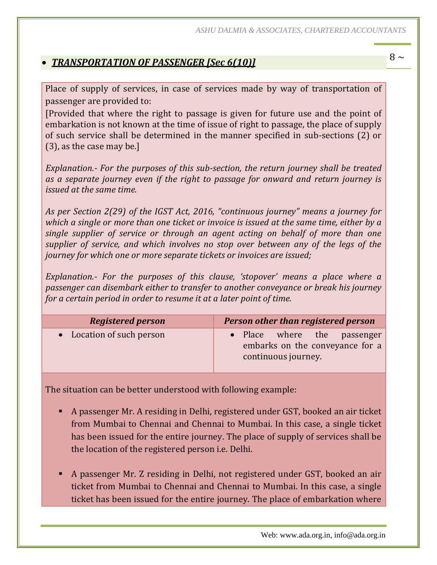## ~ 8 <sup>~</sup> *TRANSPORTATION OF PASSENGER [Sec 6(10)]*

Place of supply of services, in case of services made by way of transportation of passenger are provided to:

[Provided that where the right to passage is given for future use and the point of embarkation is not known at the time of issue of right to passage, the place of supply of such service shall be determined in the manner specified in sub-sections (2) or (3), as the case may be.]

*Explanation.- For the purposes of this sub-section, the return journey shall be treated as a separate journey even if the right to passage for onward and return journey is issued at the same time.*

*As per Section 2(29) of the IGST Act, 2016, "continuous journey" means a journey for which a single or more than one ticket or invoice is issued at the same time, either by a single supplier of service or through an agent acting on behalf of more than one supplier of service, and which involves no stop over between any of the legs of the journey for which one or more separate tickets or invoices are issued;*

*Explanation.- For the purposes of this clause, 'stopover' means a place where a passenger can disembark either to transfer to another conveyance or break his journey for a certain period in order to resume it at a later point of time.* 

| <b>Registered person</b>  | Person other than registered person                                                   |
|---------------------------|---------------------------------------------------------------------------------------|
| • Location of such person | • Place where the passenger<br>embarks on the conveyance for a<br>continuous journey. |

- A passenger Mr. A residing in Delhi, registered under GST, booked an air ticket from Mumbai to Chennai and Chennai to Mumbai. In this case, a single ticket has been issued for the entire journey. The place of supply of services shall be the location of the registered person i.e. Delhi.
- A passenger Mr. Z residing in Delhi, not registered under GST, booked an air ticket from Mumbai to Chennai and Chennai to Mumbai. In this case, a single ticket has been issued for the entire journey. The place of embarkation where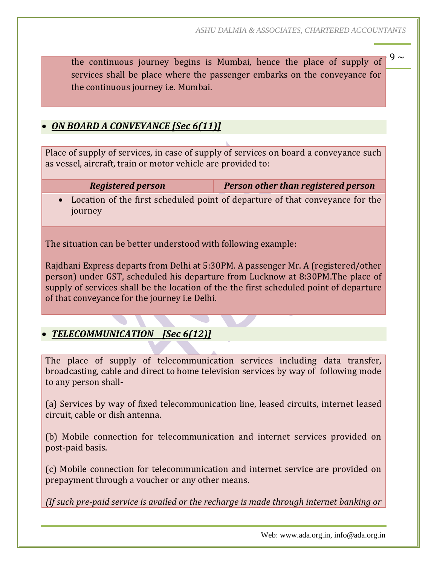the continuous journey begins is Mumbai, hence the place of supply of  $9 \sim$ services shall be place where the passenger embarks on the conveyance for the continuous journey i.e. Mumbai.

#### *ON BOARD A CONVEYANCE [Sec 6(11)]*

Place of supply of services, in case of supply of services on board a conveyance such as vessel, aircraft, train or motor vehicle are provided to:

*Registered person Person other than registered person*

 Location of the first scheduled point of departure of that conveyance for the journey

The situation can be better understood with following example:

Rajdhani Express departs from Delhi at 5:30PM. A passenger Mr. A (registered/other person) under GST, scheduled his departure from Lucknow at 8:30PM.The place of supply of services shall be the location of the the first scheduled point of departure of that conveyance for the journey i.e Delhi.

#### *TELECOMMUNICATION [Sec 6(12)]*

The place of supply of telecommunication services including data transfer, broadcasting, cable and direct to home television services by way of following mode to any person shall-

(a) Services by way of fixed telecommunication line, leased circuits, internet leased circuit, cable or dish antenna.

(b) Mobile connection for telecommunication and internet services provided on post-paid basis.

(c) Mobile connection for telecommunication and internet service are provided on prepayment through a voucher or any other means.

*(If such pre-paid service is availed or the recharge is made through internet banking or*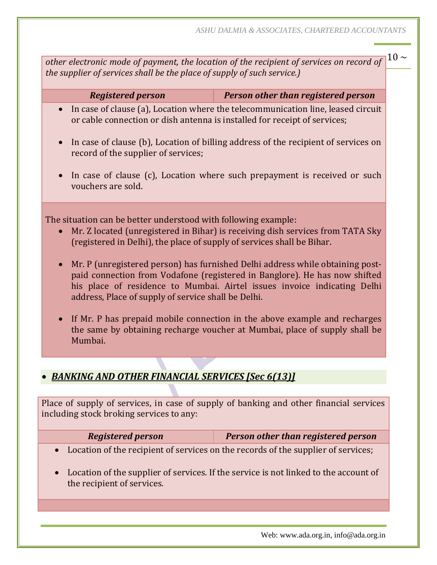other electronic mode of payment, the location of the recipient of services on record of  $\vert^{10}$  ~ *the supplier of services shall be the place of supply of such service.)*

*Registered person Person other than registered person*

- In case of clause (a), Location where the telecommunication line, leased circuit or cable connection or dish antenna is installed for receipt of services;
- In case of clause (b), Location of billing address of the recipient of services on record of the supplier of services;
- In case of clause (c), Location where such prepayment is received or such vouchers are sold.

The situation can be better understood with following example:

- Mr. Z located (unregistered in Bihar) is receiving dish services from TATA Sky (registered in Delhi), the place of supply of services shall be Bihar.
- Mr. P (unregistered person) has furnished Delhi address while obtaining postpaid connection from Vodafone (registered in Banglore). He has now shifted his place of residence to Mumbai. Airtel issues invoice indicating Delhi address, Place of supply of service shall be Delhi.
- If Mr. P has prepaid mobile connection in the above example and recharges the same by obtaining recharge voucher at Mumbai, place of supply shall be Mumbai.

#### *BANKING AND OTHER FINANCIAL SERVICES [Sec 6(13)]*

Place of supply of services, in case of supply of banking and other financial services including stock broking services to any:

| <b>Registered person</b> | <b>Person other than registered person</b> |
|--------------------------|--------------------------------------------|
|--------------------------|--------------------------------------------|

- Location of the recipient of services on the records of the supplier of services;
- Location of the supplier of services. If the service is not linked to the account of the recipient of services.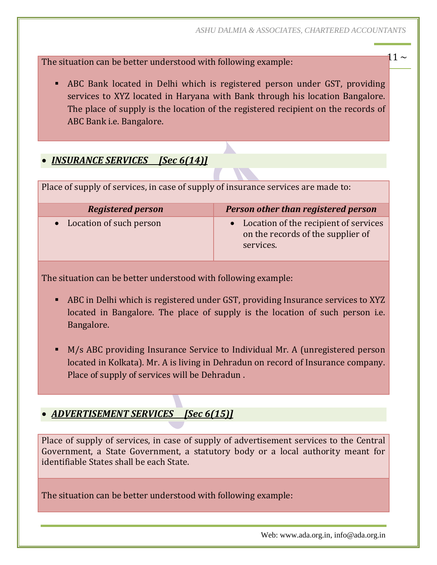The situation can be better understood with following example:  $11 \sim$ 

 ABC Bank located in Delhi which is registered person under GST, providing services to XYZ located in Haryana with Bank through his location Bangalore. The place of supply is the location of the registered recipient on the records of ABC Bank i.e. Bangalore.

#### *INSURANCE SERVICES [Sec 6(14)]*

Place of supply of services, in case of supply of insurance services are made to:

| <b>Registered person</b>  | Person other than registered person                                                       |
|---------------------------|-------------------------------------------------------------------------------------------|
| • Location of such person | • Location of the recipient of services<br>on the records of the supplier of<br>services. |

The situation can be better understood with following example:

- ABC in Delhi which is registered under GST, providing Insurance services to XYZ located in Bangalore. The place of supply is the location of such person i.e. Bangalore.
- M/s ABC providing Insurance Service to Individual Mr. A (unregistered person located in Kolkata). Mr. A is living in Dehradun on record of Insurance company. Place of supply of services will be Dehradun .

#### *ADVERTISEMENT SERVICES [Sec 6(15)]*

Place of supply of services, in case of supply of advertisement services to the Central Government, a State Government, a statutory body or a local authority meant for identifiable States shall be each State.